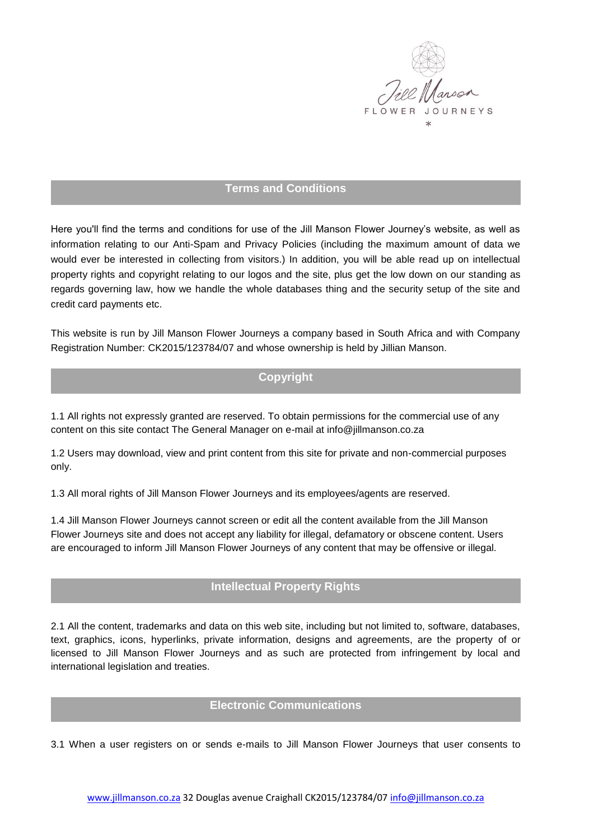

### **Terms and Conditions**

Here you'll find the terms and conditions for use of the Jill Manson Flower Journey's website, as well as information relating to our Anti-Spam and Privacy Policies (including the maximum amount of data we would ever be interested in collecting from visitors.) In addition, you will be able read up on intellectual property rights and copyright relating to our logos and the site, plus get the low down on our standing as regards governing law, how we handle the whole databases thing and the security setup of the site and credit card payments etc.

This website is run by Jill Manson Flower Journeys a company based in South Africa and with Company Registration Number: CK2015/123784/07 and whose ownership is held by Jillian Manson.

# **Copyright**

1.1 All rights not expressly granted are reserved. To obtain permissions for the commercial use of any content on this site contact The General Manager on e-mail at info@jillmanson.co.za

1.2 Users may download, view and print content from this site for private and non-commercial purposes only.

1.3 All moral rights of Jill Manson Flower Journeys and its employees/agents are reserved.

1.4 Jill Manson Flower Journeys cannot screen or edit all the content available from the Jill Manson Flower Journeys site and does not accept any liability for illegal, defamatory or obscene content. Users are encouraged to inform Jill Manson Flower Journeys of any content that may be offensive or illegal.

## **Intellectual Property Rights**

2.1 All the content, trademarks and data on this web site, including but not limited to, software, databases, text, graphics, icons, hyperlinks, private information, designs and agreements, are the property of or licensed to Jill Manson Flower Journeys and as such are protected from infringement by local and international legislation and treaties.

### **Electronic Communications**

3.1 When a user registers on or sends e-mails to Jill Manson Flower Journeys that user consents to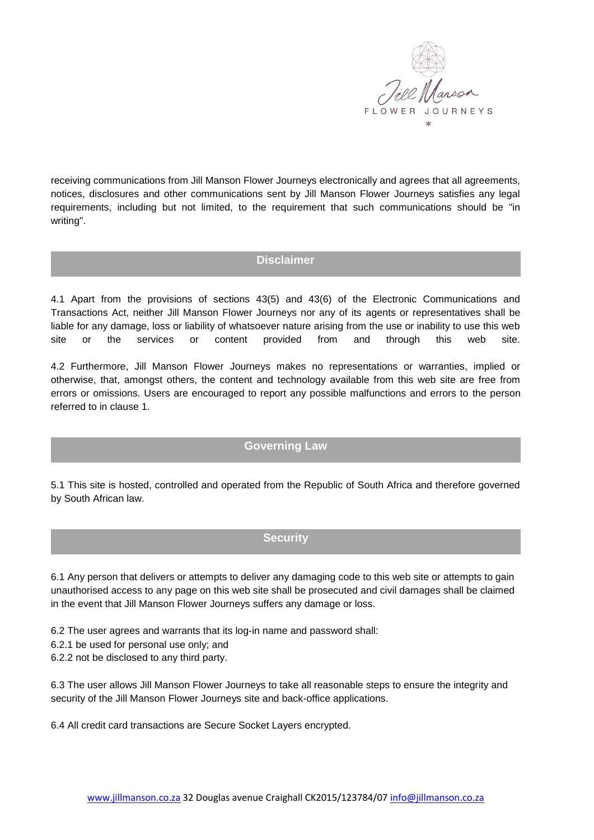

receiving communications from Jill Manson Flower Journeys electronically and agrees that all agreements, notices, disclosures and other communications sent by Jill Manson Flower Journeys satisfies any legal requirements, including but not limited, to the requirement that such communications should be "in writing".

#### **Disclaimer**

4.1 Apart from the provisions of sections 43(5) and 43(6) of the Electronic Communications and Transactions Act, neither Jill Manson Flower Journeys nor any of its agents or representatives shall be liable for any damage, loss or liability of whatsoever nature arising from the use or inability to use this web site or the services or content provided from and through this web site.

4.2 Furthermore, Jill Manson Flower Journeys makes no representations or warranties, implied or otherwise, that, amongst others, the content and technology available from this web site are free from errors or omissions. Users are encouraged to report any possible malfunctions and errors to the person referred to in clause 1.

#### **Governing Law**

5.1 This site is hosted, controlled and operated from the Republic of South Africa and therefore governed by South African law.

### **Security**

6.1 Any person that delivers or attempts to deliver any damaging code to this web site or attempts to gain unauthorised access to any page on this web site shall be prosecuted and civil damages shall be claimed in the event that Jill Manson Flower Journeys suffers any damage or loss.

6.2 The user agrees and warrants that its log-in name and password shall:

6.2.1 be used for personal use only; and

6.2.2 not be disclosed to any third party.

6.3 The user allows Jill Manson Flower Journeys to take all reasonable steps to ensure the integrity and security of the Jill Manson Flower Journeys site and back-office applications.

6.4 All credit card transactions are Secure Socket Layers encrypted.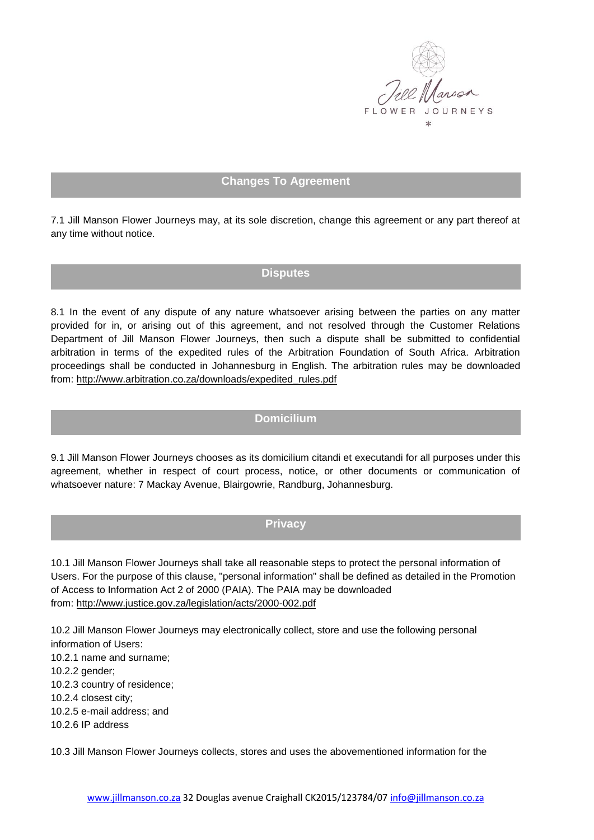

# **Changes To Agreement**

7.1 Jill Manson Flower Journeys may, at its sole discretion, change this agreement or any part thereof at any time without notice.

# **Disputes**

8.1 In the event of any dispute of any nature whatsoever arising between the parties on any matter provided for in, or arising out of this agreement, and not resolved through the Customer Relations Department of Jill Manson Flower Journeys, then such a dispute shall be submitted to confidential arbitration in terms of the expedited rules of the Arbitration Foundation of South Africa. Arbitration proceedings shall be conducted in Johannesburg in English. The arbitration rules may be downloaded from: [http://www.arbitration.co.za/downloads/expedited\\_rules.pdf](http://www.arbitration.co.za/downloads/expedited_rules.pdf)

### **Domicilium**

9.1 Jill Manson Flower Journeys chooses as its domicilium citandi et executandi for all purposes under this agreement, whether in respect of court process, notice, or other documents or communication of whatsoever nature: 7 Mackay Avenue, Blairgowrie, Randburg, Johannesburg.

### **Privacy**

10.1 Jill Manson Flower Journeys shall take all reasonable steps to protect the personal information of Users. For the purpose of this clause, "personal information" shall be defined as detailed in the Promotion of Access to Information Act 2 of 2000 (PAIA). The PAIA may be downloaded from: <http://www.justice.gov.za/legislation/acts/2000-002.pdf>

10.2 Jill Manson Flower Journeys may electronically collect, store and use the following personal information of Users:

10.2.1 name and surname;

10.2.2 gender;

10.2.3 country of residence;

10.2.4 closest city;

10.2.5 e-mail address; and

10.2.6 IP address

10.3 Jill Manson Flower Journeys collects, stores and uses the abovementioned information for the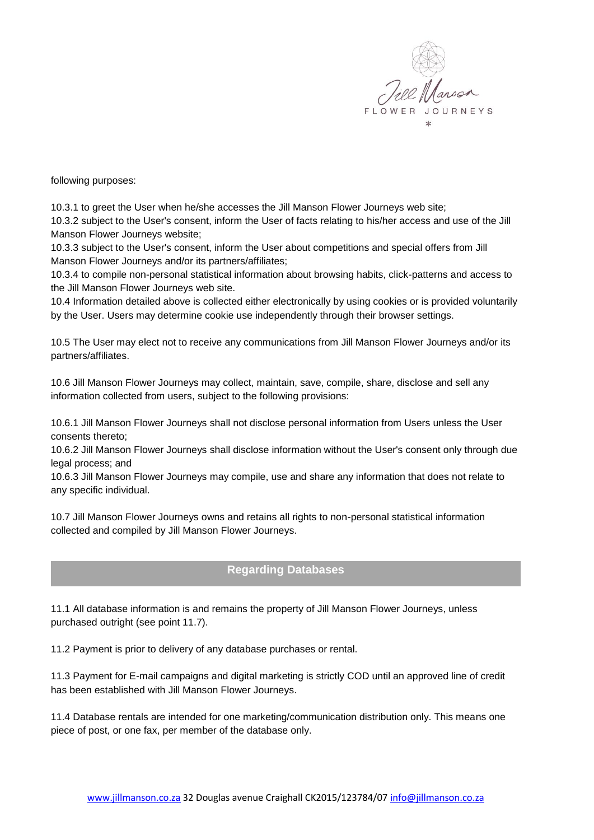

following purposes:

10.3.1 to greet the User when he/she accesses the Jill Manson Flower Journeys web site;

10.3.2 subject to the User's consent, inform the User of facts relating to his/her access and use of the Jill Manson Flower Journeys website;

10.3.3 subject to the User's consent, inform the User about competitions and special offers from Jill Manson Flower Journeys and/or its partners/affiliates;

10.3.4 to compile non-personal statistical information about browsing habits, click-patterns and access to the Jill Manson Flower Journeys web site.

10.4 Information detailed above is collected either electronically by using cookies or is provided voluntarily by the User. Users may determine cookie use independently through their browser settings.

10.5 The User may elect not to receive any communications from Jill Manson Flower Journeys and/or its partners/affiliates.

10.6 Jill Manson Flower Journeys may collect, maintain, save, compile, share, disclose and sell any information collected from users, subject to the following provisions:

10.6.1 Jill Manson Flower Journeys shall not disclose personal information from Users unless the User consents thereto;

10.6.2 Jill Manson Flower Journeys shall disclose information without the User's consent only through due legal process; and

10.6.3 Jill Manson Flower Journeys may compile, use and share any information that does not relate to any specific individual.

10.7 Jill Manson Flower Journeys owns and retains all rights to non-personal statistical information collected and compiled by Jill Manson Flower Journeys.

# **Regarding Databases**

11.1 All database information is and remains the property of Jill Manson Flower Journeys, unless purchased outright (see point 11.7).

11.2 Payment is prior to delivery of any database purchases or rental.

11.3 Payment for E-mail campaigns and digital marketing is strictly COD until an approved line of credit has been established with Jill Manson Flower Journeys.

11.4 Database rentals are intended for one marketing/communication distribution only. This means one piece of post, or one fax, per member of the database only.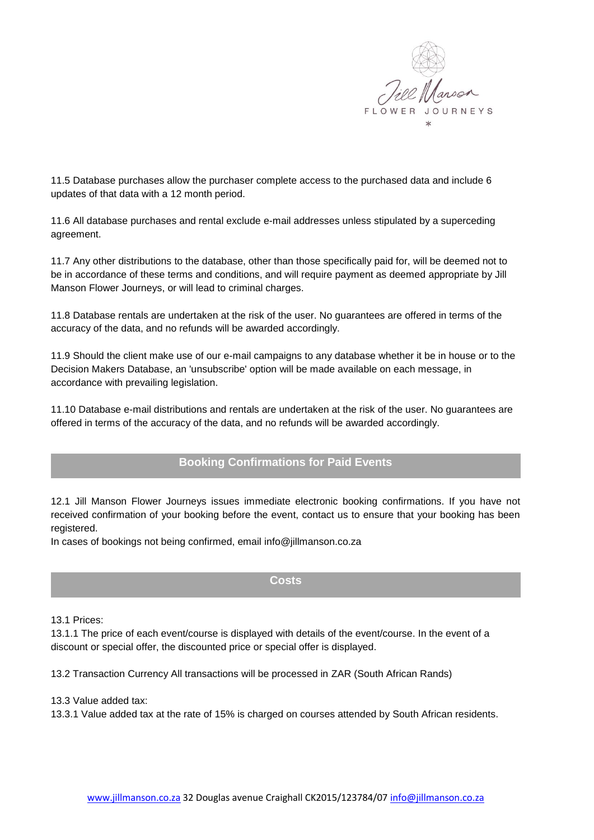

11.5 Database purchases allow the purchaser complete access to the purchased data and include 6 updates of that data with a 12 month period.

11.6 All database purchases and rental exclude e-mail addresses unless stipulated by a superceding agreement.

11.7 Any other distributions to the database, other than those specifically paid for, will be deemed not to be in accordance of these terms and conditions, and will require payment as deemed appropriate by Jill Manson Flower Journeys, or will lead to criminal charges.

11.8 Database rentals are undertaken at the risk of the user. No guarantees are offered in terms of the accuracy of the data, and no refunds will be awarded accordingly.

11.9 Should the client make use of our e-mail campaigns to any database whether it be in house or to the Decision Makers Database, an 'unsubscribe' option will be made available on each message, in accordance with prevailing legislation.

11.10 Database e-mail distributions and rentals are undertaken at the risk of the user. No guarantees are offered in terms of the accuracy of the data, and no refunds will be awarded accordingly.

# **Booking Confirmations for Paid Events**

12.1 Jill Manson Flower Journeys issues immediate electronic booking confirmations. If you have not received confirmation of your booking before the event, contact us to ensure that your booking has been registered.

In cases of bookings not being confirmed, email info@jillmanson.co.za

### **Costs**

13.1 Prices:

13.1.1 The price of each event/course is displayed with details of the event/course. In the event of a discount or special offer, the discounted price or special offer is displayed.

13.2 Transaction Currency All transactions will be processed in ZAR (South African Rands)

13.3 Value added tax:

13.3.1 Value added tax at the rate of 15% is charged on courses attended by South African residents.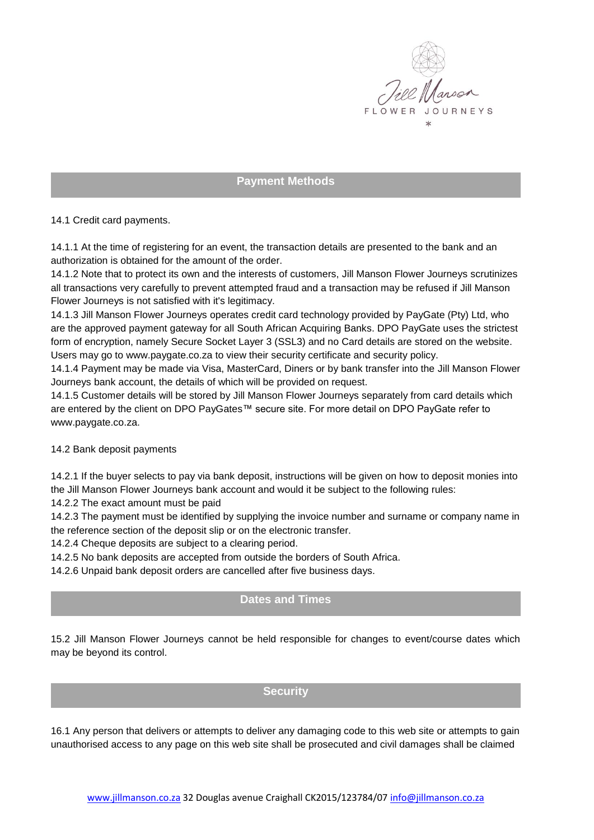

# **Payment Methods**

14.1 Credit card payments.

14.1.1 At the time of registering for an event, the transaction details are presented to the bank and an authorization is obtained for the amount of the order.

14.1.2 Note that to protect its own and the interests of customers, Jill Manson Flower Journeys scrutinizes all transactions very carefully to prevent attempted fraud and a transaction may be refused if Jill Manson Flower Journeys is not satisfied with it's legitimacy.

14.1.3 Jill Manson Flower Journeys operates credit card technology provided by PayGate (Pty) Ltd, who are the approved payment gateway for all South African Acquiring Banks. DPO PayGate uses the strictest form of encryption, namely Secure Socket Layer 3 (SSL3) and no Card details are stored on the website. Users may go to www.paygate.co.za to view their security certificate and security policy.

14.1.4 Payment may be made via Visa, MasterCard, Diners or by bank transfer into the Jill Manson Flower Journeys bank account, the details of which will be provided on request.

14.1.5 Customer details will be stored by Jill Manson Flower Journeys separately from card details which are entered by the client on DPO PayGates™ secure site. For more detail on DPO PayGate refer to www.paygate.co.za.

#### 14.2 Bank deposit payments

14.2.1 If the buyer selects to pay via bank deposit, instructions will be given on how to deposit monies into the Jill Manson Flower Journeys bank account and would it be subject to the following rules:

14.2.2 The exact amount must be paid

14.2.3 The payment must be identified by supplying the invoice number and surname or company name in the reference section of the deposit slip or on the electronic transfer.

14.2.4 Cheque deposits are subject to a clearing period.

14.2.5 No bank deposits are accepted from outside the borders of South Africa.

14.2.6 Unpaid bank deposit orders are cancelled after five business days.

## **Dates and Times**

15.2 Jill Manson Flower Journeys cannot be held responsible for changes to event/course dates which may be beyond its control.

#### **Security**

16.1 Any person that delivers or attempts to deliver any damaging code to this web site or attempts to gain unauthorised access to any page on this web site shall be prosecuted and civil damages shall be claimed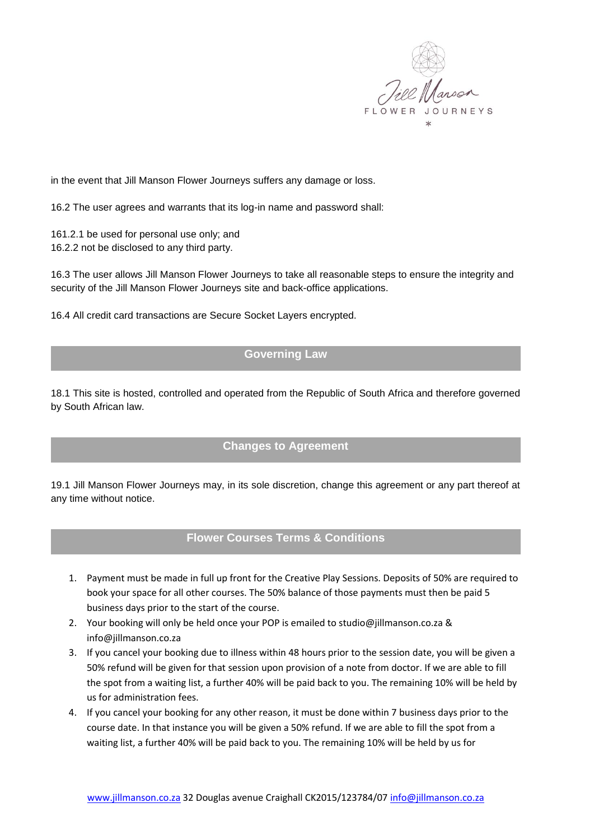

in the event that Jill Manson Flower Journeys suffers any damage or loss.

16.2 The user agrees and warrants that its log-in name and password shall:

161.2.1 be used for personal use only; and 16.2.2 not be disclosed to any third party.

16.3 The user allows Jill Manson Flower Journeys to take all reasonable steps to ensure the integrity and security of the Jill Manson Flower Journeys site and back-office applications.

16.4 All credit card transactions are Secure Socket Layers encrypted.

# **Governing Law**

18.1 This site is hosted, controlled and operated from the Republic of South Africa and therefore governed by South African law.

### **Changes to Agreement**

19.1 Jill Manson Flower Journeys may, in its sole discretion, change this agreement or any part thereof at any time without notice.

### **Flower Courses Terms & Conditions**

- 1. Payment must be made in full up front for the Creative Play Sessions. Deposits of 50% are required to book your space for all other courses. The 50% balance of those payments must then be paid 5 business days prior to the start of the course.
- 2. Your booking will only be held once your POP is emailed to studio@jillmanson.co.za & info@jillmanson.co.za
- 3. If you cancel your booking due to illness within 48 hours prior to the session date, you will be given a 50% refund will be given for that session upon provision of a note from doctor. If we are able to fill the spot from a waiting list, a further 40% will be paid back to you. The remaining 10% will be held by us for administration fees.
- 4. If you cancel your booking for any other reason, it must be done within 7 business days prior to the course date. In that instance you will be given a 50% refund. If we are able to fill the spot from a waiting list, a further 40% will be paid back to you. The remaining 10% will be held by us for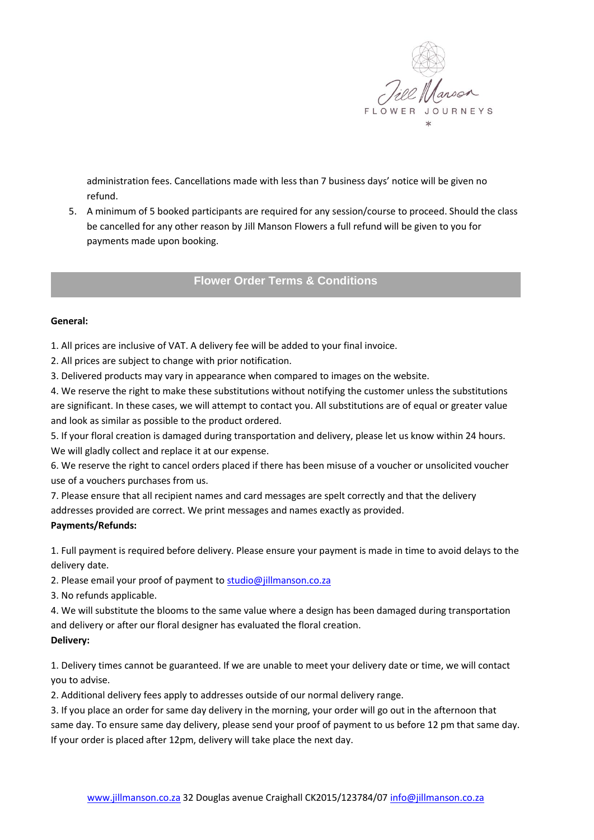

administration fees. Cancellations made with less than 7 business days' notice will be given no refund.

5. A minimum of 5 booked participants are required for any session/course to proceed. Should the class be cancelled for any other reason by Jill Manson Flowers a full refund will be given to you for payments made upon booking.

### **Flower Order Terms & Conditions**

#### **General:**

1. All prices are inclusive of VAT. A delivery fee will be added to your final invoice.

2. All prices are subject to change with prior notification.

3. Delivered products may vary in appearance when compared to images on the website.

4. We reserve the right to make these substitutions without notifying the customer unless the substitutions are significant. In these cases, we will attempt to contact you. All substitutions are of equal or greater value and look as similar as possible to the product ordered.

5. If your floral creation is damaged during transportation and delivery, please let us know within 24 hours. We will gladly collect and replace it at our expense.

6. We reserve the right to cancel orders placed if there has been misuse of a voucher or unsolicited voucher use of a vouchers purchases from us.

7. Please ensure that all recipient names and card messages are spelt correctly and that the delivery addresses provided are correct. We print messages and names exactly as provided. **Payments/Refunds:** 

1. Full payment is required before delivery. Please ensure your payment is made in time to avoid delays to the delivery date.

2. Please email your proof of payment t[o studio@jillmanson.co.za](mailto:studio@jillmanson.co.za)

3. No refunds applicable.

4. We will substitute the blooms to the same value where a design has been damaged during transportation and delivery or after our floral designer has evaluated the floral creation.

#### **Delivery:**

1. Delivery times cannot be guaranteed. If we are unable to meet your delivery date or time, we will contact you to advise.

2. Additional delivery fees apply to addresses outside of our normal delivery range.

3. If you place an order for same day delivery in the morning, your order will go out in the afternoon that same day. To ensure same day delivery, please send your proof of payment to us before 12 pm that same day. If your order is placed after 12pm, delivery will take place the next day.